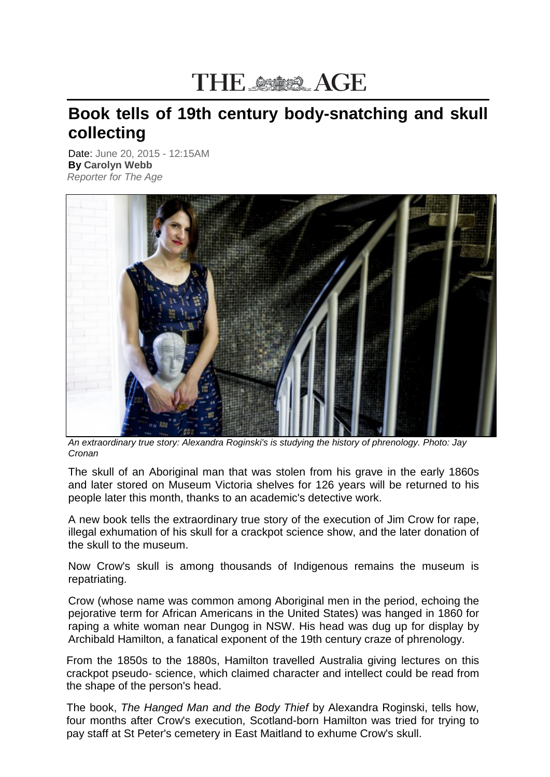## THE SSIES AGE

## **Book tells of 19th century body-snatching and skull collecting**

Date: June 20, 2015 - 12:15AM **By Carolyn Webb** *Reporter for The Age*



*An extraordinary true story: Alexandra Roginski's is studying the history of phrenology. Photo: Jay Cronan*

The skull of an Aboriginal man that was stolen from his grave in the early 1860s and later stored on Museum Victoria shelves for 126 years will be returned to his people later this month, thanks to an academic's detective work.

A new book tells the extraordinary true story of the execution of Jim Crow for rape, illegal exhumation of his skull for a crackpot science show, and the later donation of the skull to the museum.

Now Crow's skull is among thousands of Indigenous remains the museum is repatriating.

Crow (whose name was common among Aboriginal men in the period, echoing the pejorative term for African Americans in the United States) was hanged in 1860 for raping a white woman near Dungog in NSW. His head was dug up for display by Archibald Hamilton, a fanatical exponent of the 19th century craze of phrenology.

From the 1850s to the 1880s, Hamilton travelled Australia giving lectures on this crackpot pseudo- science, which claimed character and intellect could be read from the shape of the person's head.

The book, *The Hanged Man and the Body Thief* by Alexandra Roginski, tells how, four months after Crow's execution, Scotland-born Hamilton was tried for trying to pay staff at St Peter's cemetery in East Maitland to exhume Crow's skull.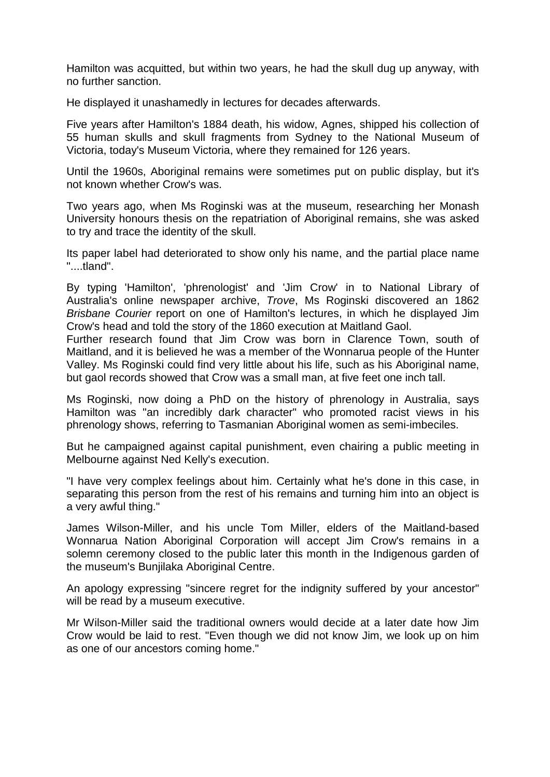Hamilton was acquitted, but within two years, he had the skull dug up anyway, with no further sanction.

He displayed it unashamedly in lectures for decades afterwards.

Five years after Hamilton's 1884 death, his widow, Agnes, shipped his collection of 55 human skulls and skull fragments from Sydney to the National Museum of Victoria, today's Museum Victoria, where they remained for 126 years.

Until the 1960s, Aboriginal remains were sometimes put on public display, but it's not known whether Crow's was.

Two years ago, when Ms Roginski was at the museum, researching her Monash University honours thesis on the repatriation of Aboriginal remains, she was asked to try and trace the identity of the skull.

Its paper label had deteriorated to show only his name, and the partial place name "....tland".

By typing 'Hamilton', 'phrenologist' and 'Jim Crow' in to National Library of Australia's online newspaper archive, *Trove*, Ms Roginski discovered an 1862 *Brisbane Courier* report on one of Hamilton's lectures, in which he displayed Jim Crow's head and told the story of the 1860 execution at Maitland Gaol.

Further research found that Jim Crow was born in Clarence Town, south of Maitland, and it is believed he was a member of the Wonnarua people of the Hunter Valley. Ms Roginski could find very little about his life, such as his Aboriginal name, but gaol records showed that Crow was a small man, at five feet one inch tall.

Ms Roginski, now doing a PhD on the history of phrenology in Australia, says Hamilton was "an incredibly dark character" who promoted racist views in his phrenology shows, referring to Tasmanian Aboriginal women as semi-imbeciles.

But he campaigned against capital punishment, even chairing a public meeting in Melbourne against Ned Kelly's execution.

"I have very complex feelings about him. Certainly what he's done in this case, in separating this person from the rest of his remains and turning him into an object is a very awful thing."

James Wilson-Miller, and his uncle Tom Miller, elders of the Maitland-based Wonnarua Nation Aboriginal Corporation will accept Jim Crow's remains in a solemn ceremony closed to the public later this month in the Indigenous garden of the museum's Bunjilaka Aboriginal Centre.

An apology expressing "sincere regret for the indignity suffered by your ancestor" will be read by a museum executive.

Mr Wilson-Miller said the traditional owners would decide at a later date how Jim Crow would be laid to rest. "Even though we did not know Jim, we look up on him as one of our ancestors coming home."